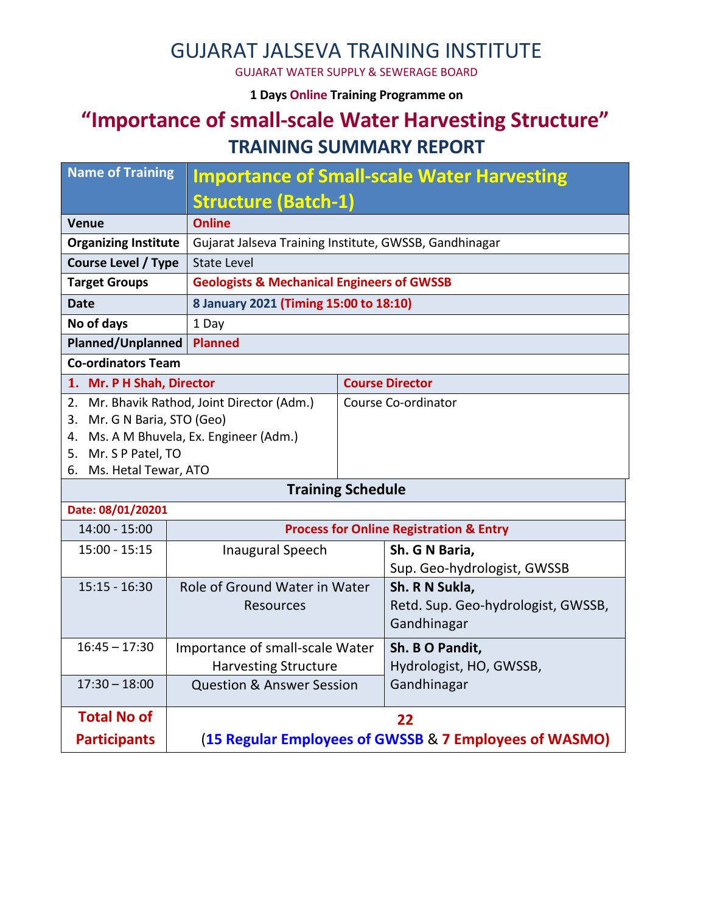#### GUJARAT JALSEVA TRAINING INSTITUTE

GUJARAT WATER SUPPLY & SEWERAGE BOARD

**1 Days Online Training Programme on** 

## **"Importance of small-scale Water Harvesting Structure" TRAINING SUMMARY REPORT**

| Name of Training                            |                                                     | <b>Importance of Small-scale Water Harvesting</b>      |                                    |  |  |  |
|---------------------------------------------|-----------------------------------------------------|--------------------------------------------------------|------------------------------------|--|--|--|
|                                             | <b>Structure (Batch-1)</b>                          |                                                        |                                    |  |  |  |
| <b>Venue</b>                                | <b>Online</b>                                       |                                                        |                                    |  |  |  |
| <b>Organizing Institute</b>                 |                                                     | Gujarat Jalseva Training Institute, GWSSB, Gandhinagar |                                    |  |  |  |
| <b>Course Level / Type</b>                  | <b>State Level</b>                                  |                                                        |                                    |  |  |  |
| <b>Target Groups</b>                        |                                                     | <b>Geologists &amp; Mechanical Engineers of GWSSB</b>  |                                    |  |  |  |
| Date                                        | 8 January 2021 (Timing 15:00 to 18:10)              |                                                        |                                    |  |  |  |
| No of days                                  | 1 Day                                               |                                                        |                                    |  |  |  |
| <b>Planned/Unplanned</b>                    | <b>Planned</b>                                      |                                                        |                                    |  |  |  |
| <b>Co-ordinators Team</b>                   |                                                     |                                                        |                                    |  |  |  |
| 1. Mr. P H Shah, Director                   |                                                     | <b>Course Director</b>                                 |                                    |  |  |  |
| 2. Mr. Bhavik Rathod, Joint Director (Adm.) |                                                     | Course Co-ordinator                                    |                                    |  |  |  |
| 3. Mr. G N Baria, STO (Geo)                 |                                                     |                                                        |                                    |  |  |  |
|                                             | 4. Ms. A M Bhuvela, Ex. Engineer (Adm.)             |                                                        |                                    |  |  |  |
| 5. Mr. S P Patel, TO                        |                                                     |                                                        |                                    |  |  |  |
|                                             | 6. Ms. Hetal Tewar, ATO<br><b>Training Schedule</b> |                                                        |                                    |  |  |  |
| Date: 08/01/20201                           |                                                     |                                                        |                                    |  |  |  |
| $14:00 - 15:00$                             |                                                     | <b>Process for Online Registration &amp; Entry</b>     |                                    |  |  |  |
| $15:00 - 15:15$                             | <b>Inaugural Speech</b>                             |                                                        | Sh. G N Baria,                     |  |  |  |
|                                             |                                                     |                                                        | Sup. Geo-hydrologist, GWSSB        |  |  |  |
| $15:15 - 16:30$                             | Role of Ground Water in Water                       |                                                        | Sh. R N Sukla,                     |  |  |  |
|                                             | <b>Resources</b>                                    |                                                        | Retd. Sup. Geo-hydrologist, GWSSB, |  |  |  |
|                                             |                                                     |                                                        | Gandhinagar                        |  |  |  |
| $16:45 - 17:30$                             | Importance of small-scale Water                     |                                                        | Sh. B O Pandit,                    |  |  |  |
|                                             | <b>Harvesting Structure</b>                         |                                                        | Hydrologist, HO, GWSSB,            |  |  |  |
| $17:30 - 18:00$                             | <b>Question &amp; Answer Session</b>                |                                                        | Gandhinagar                        |  |  |  |
| <b>Total No of</b>                          |                                                     | 22                                                     |                                    |  |  |  |
| <b>Participants</b>                         |                                                     | (15 Regular Employees of GWSSB & 7 Employees of WASMO) |                                    |  |  |  |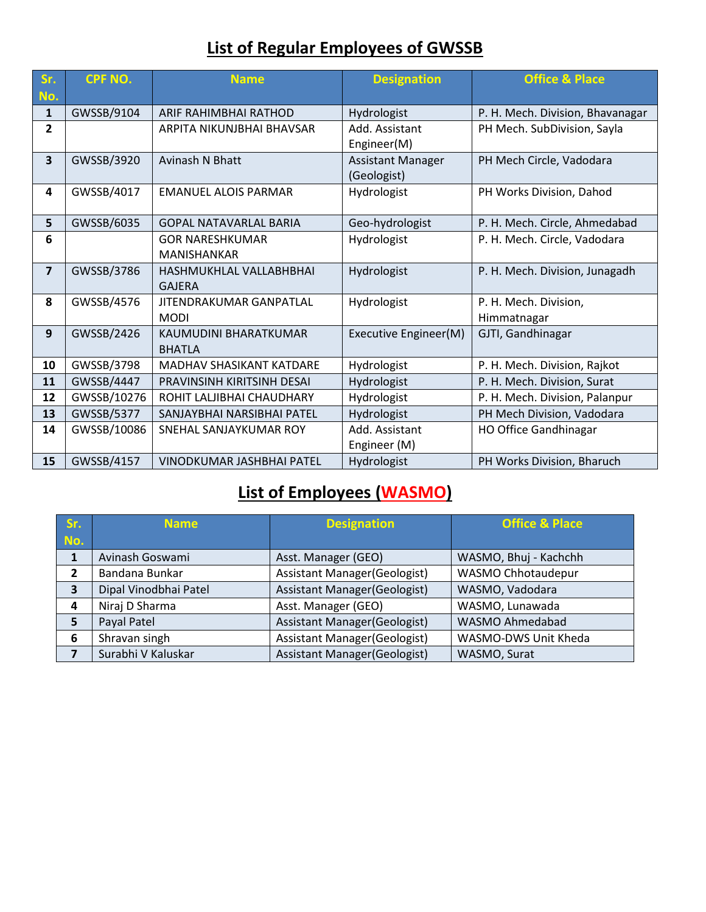### **List of Regular Employees of GWSSB**

| Sr.                     | <b>CPF NO.</b> | <b>Name</b>                                  | <b>Designation</b>                      | <b>Office &amp; Place</b>            |
|-------------------------|----------------|----------------------------------------------|-----------------------------------------|--------------------------------------|
| No.                     |                |                                              |                                         |                                      |
| $\mathbf{1}$            | GWSSB/9104     | ARIF RAHIMBHAI RATHOD                        | Hydrologist                             | P. H. Mech. Division, Bhavanagar     |
| $\overline{2}$          |                | ARPITA NIKUNJBHAI BHAVSAR                    | Add. Assistant<br>Engineer(M)           | PH Mech. SubDivision, Sayla          |
| $\overline{\mathbf{3}}$ | GWSSB/3920     | <b>Avinash N Bhatt</b>                       | <b>Assistant Manager</b><br>(Geologist) | PH Mech Circle, Vadodara             |
| 4                       | GWSSB/4017     | <b>EMANUEL ALOIS PARMAR</b>                  | Hydrologist                             | PH Works Division, Dahod             |
| 5                       | GWSSB/6035     | <b>GOPAL NATAVARLAL BARIA</b>                | Geo-hydrologist                         | P. H. Mech. Circle, Ahmedabad        |
| 6                       |                | <b>GOR NARESHKUMAR</b><br><b>MANISHANKAR</b> | Hydrologist                             | P. H. Mech. Circle, Vadodara         |
| $\overline{7}$          | GWSSB/3786     | HASHMUKHLAL VALLABHBHAI<br><b>GAJERA</b>     | Hydrologist                             | P. H. Mech. Division, Junagadh       |
| 8                       | GWSSB/4576     | JITENDRAKUMAR GANPATLAL<br><b>MODI</b>       | Hydrologist                             | P. H. Mech. Division,<br>Himmatnagar |
| 9                       | GWSSB/2426     | KAUMUDINI BHARATKUMAR<br><b>BHATLA</b>       | Executive Engineer(M)                   | GJTI, Gandhinagar                    |
| 10                      | GWSSB/3798     | MADHAV SHASIKANT KATDARE                     | Hydrologist                             | P. H. Mech. Division, Rajkot         |
| 11                      | GWSSB/4447     | PRAVINSINH KIRITSINH DESAI                   | Hydrologist                             | P. H. Mech. Division, Surat          |
| 12                      | GWSSB/10276    | ROHIT LALJIBHAI CHAUDHARY                    | Hydrologist                             | P. H. Mech. Division, Palanpur       |
| 13                      | GWSSB/5377     | SANJAYBHAI NARSIBHAI PATEL                   | Hydrologist                             | PH Mech Division, Vadodara           |
| 14                      | GWSSB/10086    | SNEHAL SANJAYKUMAR ROY                       | Add. Assistant<br>Engineer (M)          | <b>HO Office Gandhinagar</b>         |
| 15                      | GWSSB/4157     | VINODKUMAR JASHBHAI PATEL                    | Hydrologist                             | PH Works Division, Bharuch           |

# **List of Employees (WASMO)**

| Sr.                     | <b>Name</b>           | <b>Designation</b>                   | <b>Office &amp; Place</b> |
|-------------------------|-----------------------|--------------------------------------|---------------------------|
| No.                     |                       |                                      |                           |
| 1                       | Avinash Goswami       | Asst. Manager (GEO)                  | WASMO, Bhuj - Kachchh     |
| $\mathbf{2}$            | Bandana Bunkar        | <b>Assistant Manager (Geologist)</b> | <b>WASMO Chhotaudepur</b> |
| $\overline{\mathbf{3}}$ | Dipal Vinodbhai Patel | <b>Assistant Manager (Geologist)</b> | WASMO, Vadodara           |
| 4                       | Niraj D Sharma        | Asst. Manager (GEO)                  | WASMO, Lunawada           |
| 5                       | Payal Patel           | <b>Assistant Manager (Geologist)</b> | WASMO Ahmedabad           |
| 6                       | Shravan singh         | <b>Assistant Manager (Geologist)</b> | WASMO-DWS Unit Kheda      |
|                         | Surabhi V Kaluskar    | <b>Assistant Manager (Geologist)</b> | WASMO, Surat              |